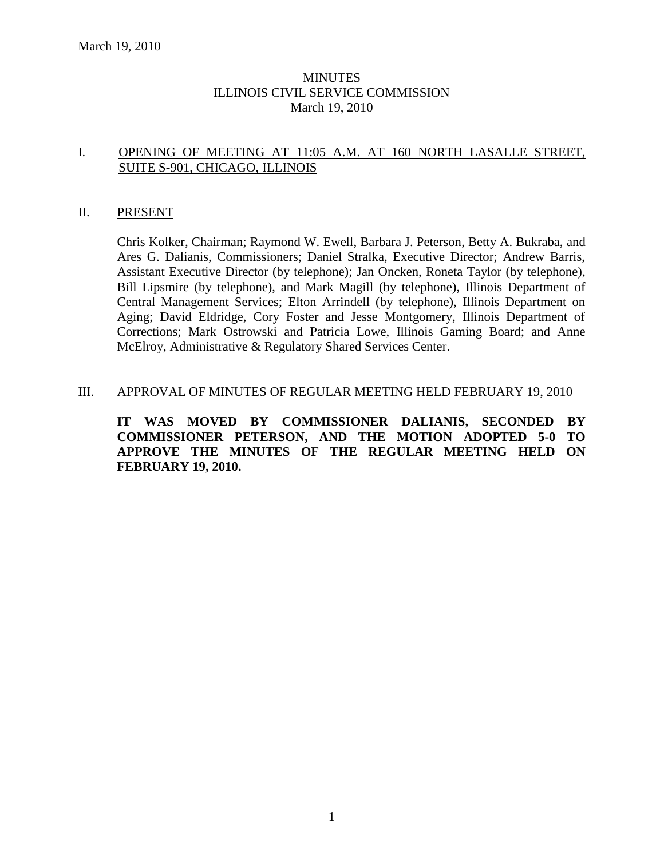## MINUTES ILLINOIS CIVIL SERVICE COMMISSION March 19, 2010

## I. OPENING OF MEETING AT 11:05 A.M. AT 160 NORTH LASALLE STREET, SUITE S-901, CHICAGO, ILLINOIS

#### II. PRESENT

Chris Kolker, Chairman; Raymond W. Ewell, Barbara J. Peterson, Betty A. Bukraba, and Ares G. Dalianis, Commissioners; Daniel Stralka, Executive Director; Andrew Barris, Assistant Executive Director (by telephone); Jan Oncken, Roneta Taylor (by telephone), Bill Lipsmire (by telephone), and Mark Magill (by telephone), Illinois Department of Central Management Services; Elton Arrindell (by telephone), Illinois Department on Aging; David Eldridge, Cory Foster and Jesse Montgomery, Illinois Department of Corrections; Mark Ostrowski and Patricia Lowe, Illinois Gaming Board; and Anne McElroy, Administrative & Regulatory Shared Services Center.

#### III. APPROVAL OF MINUTES OF REGULAR MEETING HELD FEBRUARY 19, 2010

**IT WAS MOVED BY COMMISSIONER DALIANIS, SECONDED BY COMMISSIONER PETERSON, AND THE MOTION ADOPTED 5-0 TO APPROVE THE MINUTES OF THE REGULAR MEETING HELD ON FEBRUARY 19, 2010.**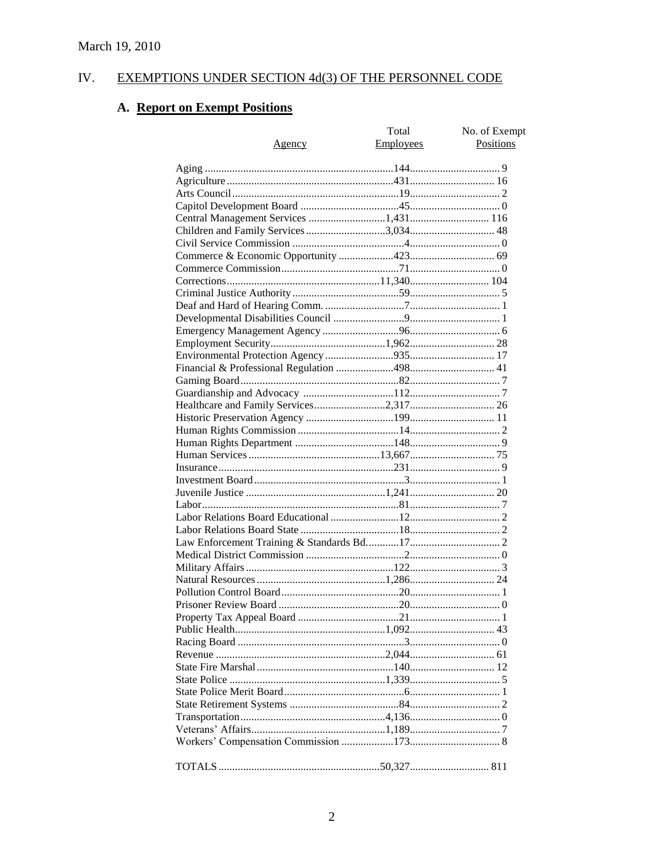#### IV. **EXEMPTIONS UNDER SECTION 4d(3) OF THE PERSONNEL CODE**

# A. Report on Exempt Positions

| Agency | Total<br><b>Employees</b> | No. of Exempt<br>Positions |
|--------|---------------------------|----------------------------|
|        |                           |                            |
|        |                           |                            |
|        |                           |                            |
|        |                           |                            |
|        |                           |                            |
|        |                           |                            |
|        |                           |                            |
|        |                           |                            |
|        |                           |                            |
|        |                           |                            |
|        |                           |                            |
|        |                           |                            |
|        |                           |                            |
|        |                           |                            |
|        |                           |                            |
|        |                           |                            |
|        |                           |                            |
|        |                           |                            |
|        |                           |                            |
|        |                           |                            |
|        |                           |                            |
|        |                           |                            |
|        |                           |                            |
|        |                           |                            |
|        |                           |                            |
|        |                           |                            |
|        |                           |                            |
|        |                           |                            |
|        |                           |                            |
|        |                           |                            |
|        |                           |                            |
|        |                           |                            |
|        |                           |                            |
|        |                           |                            |
|        |                           |                            |
|        |                           |                            |
|        |                           |                            |
|        |                           |                            |
|        |                           |                            |
|        |                           |                            |
|        |                           |                            |
|        |                           |                            |
|        |                           |                            |
|        |                           |                            |
|        |                           |                            |
|        |                           |                            |
|        |                           |                            |
|        |                           |                            |
|        |                           |                            |
|        |                           |                            |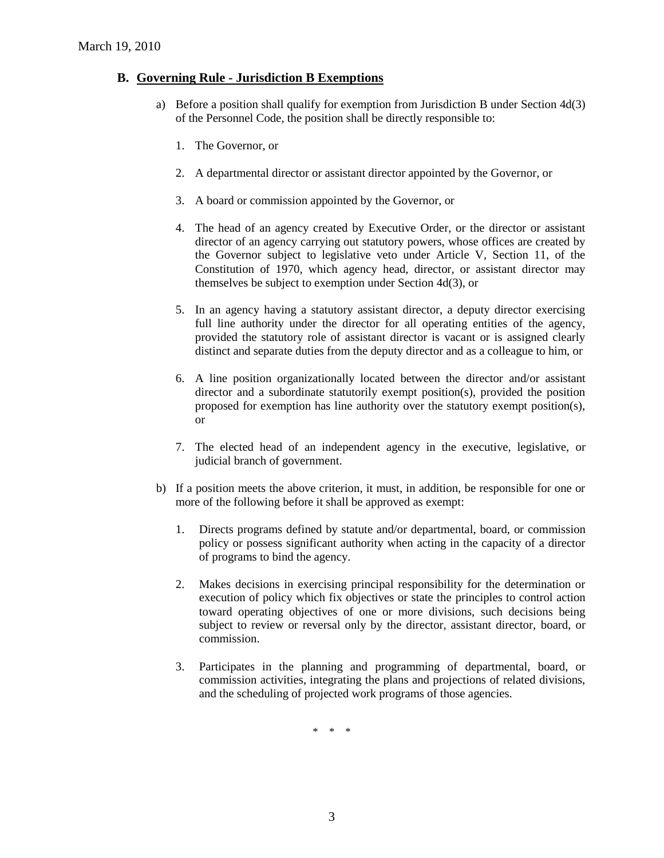## **B. Governing Rule - Jurisdiction B Exemptions**

- a) Before a position shall qualify for exemption from Jurisdiction B under Section 4d(3) of the Personnel Code, the position shall be directly responsible to:
	- 1. The Governor, or
	- 2. A departmental director or assistant director appointed by the Governor, or
	- 3. A board or commission appointed by the Governor, or
	- 4. The head of an agency created by Executive Order, or the director or assistant director of an agency carrying out statutory powers, whose offices are created by the Governor subject to legislative veto under Article V, Section 11, of the Constitution of 1970, which agency head, director, or assistant director may themselves be subject to exemption under Section 4d(3), or
	- 5. In an agency having a statutory assistant director, a deputy director exercising full line authority under the director for all operating entities of the agency, provided the statutory role of assistant director is vacant or is assigned clearly distinct and separate duties from the deputy director and as a colleague to him, or
	- 6. A line position organizationally located between the director and/or assistant director and a subordinate statutorily exempt position(s), provided the position proposed for exemption has line authority over the statutory exempt position(s), or
	- 7. The elected head of an independent agency in the executive, legislative, or judicial branch of government.
- b) If a position meets the above criterion, it must, in addition, be responsible for one or more of the following before it shall be approved as exempt:
	- 1. Directs programs defined by statute and/or departmental, board, or commission policy or possess significant authority when acting in the capacity of a director of programs to bind the agency.
	- 2. Makes decisions in exercising principal responsibility for the determination or execution of policy which fix objectives or state the principles to control action toward operating objectives of one or more divisions, such decisions being subject to review or reversal only by the director, assistant director, board, or commission.
	- 3. Participates in the planning and programming of departmental, board, or commission activities, integrating the plans and projections of related divisions, and the scheduling of projected work programs of those agencies.

\* \* \*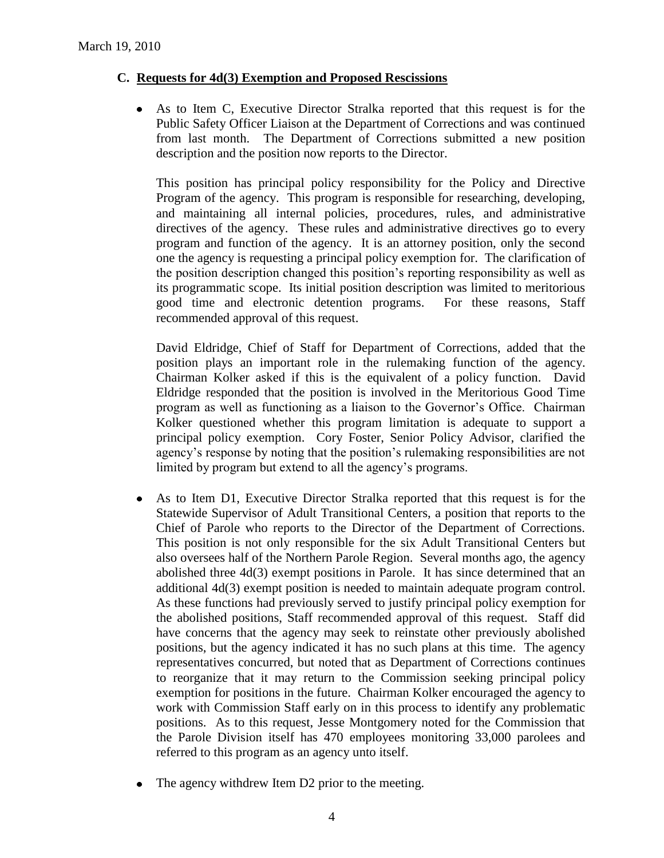## **C. Requests for 4d(3) Exemption and Proposed Rescissions**

As to Item C, Executive Director Stralka reported that this request is for the Public Safety Officer Liaison at the Department of Corrections and was continued from last month. The Department of Corrections submitted a new position description and the position now reports to the Director.

This position has principal policy responsibility for the Policy and Directive Program of the agency. This program is responsible for researching, developing, and maintaining all internal policies, procedures, rules, and administrative directives of the agency. These rules and administrative directives go to every program and function of the agency. It is an attorney position, only the second one the agency is requesting a principal policy exemption for. The clarification of the position description changed this position's reporting responsibility as well as its programmatic scope. Its initial position description was limited to meritorious good time and electronic detention programs. For these reasons, Staff recommended approval of this request.

David Eldridge, Chief of Staff for Department of Corrections, added that the position plays an important role in the rulemaking function of the agency. Chairman Kolker asked if this is the equivalent of a policy function. David Eldridge responded that the position is involved in the Meritorious Good Time program as well as functioning as a liaison to the Governor's Office. Chairman Kolker questioned whether this program limitation is adequate to support a principal policy exemption. Cory Foster, Senior Policy Advisor, clarified the agency's response by noting that the position's rulemaking responsibilities are not limited by program but extend to all the agency's programs.

- $\bullet$ As to Item D1, Executive Director Stralka reported that this request is for the Statewide Supervisor of Adult Transitional Centers, a position that reports to the Chief of Parole who reports to the Director of the Department of Corrections. This position is not only responsible for the six Adult Transitional Centers but also oversees half of the Northern Parole Region. Several months ago, the agency abolished three 4d(3) exempt positions in Parole. It has since determined that an additional 4d(3) exempt position is needed to maintain adequate program control. As these functions had previously served to justify principal policy exemption for the abolished positions, Staff recommended approval of this request. Staff did have concerns that the agency may seek to reinstate other previously abolished positions, but the agency indicated it has no such plans at this time. The agency representatives concurred, but noted that as Department of Corrections continues to reorganize that it may return to the Commission seeking principal policy exemption for positions in the future. Chairman Kolker encouraged the agency to work with Commission Staff early on in this process to identify any problematic positions. As to this request, Jesse Montgomery noted for the Commission that the Parole Division itself has 470 employees monitoring 33,000 parolees and referred to this program as an agency unto itself.
- The agency withdrew Item D2 prior to the meeting.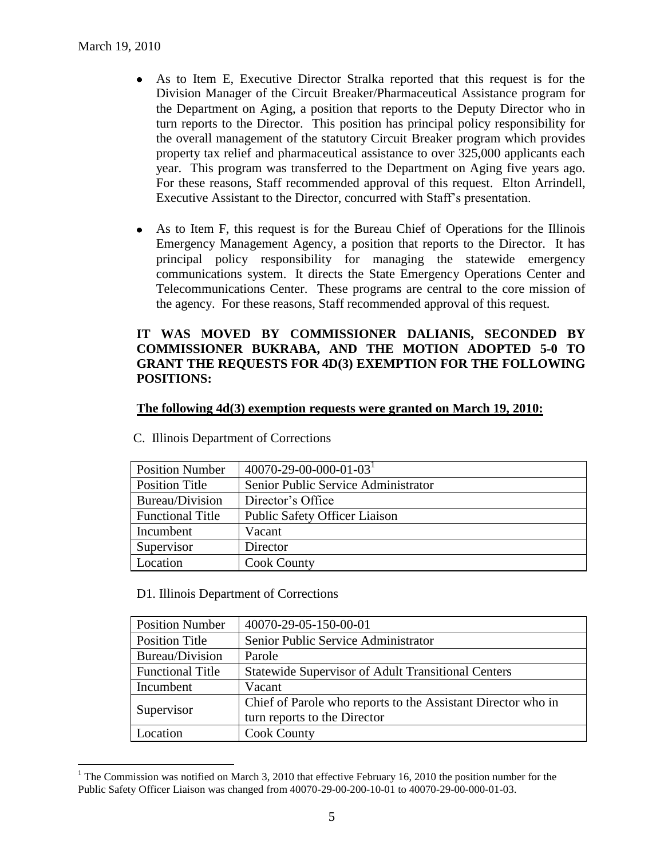$\overline{a}$ 

- As to Item E, Executive Director Stralka reported that this request is for the Division Manager of the Circuit Breaker/Pharmaceutical Assistance program for the Department on Aging, a position that reports to the Deputy Director who in turn reports to the Director. This position has principal policy responsibility for the overall management of the statutory Circuit Breaker program which provides property tax relief and pharmaceutical assistance to over 325,000 applicants each year. This program was transferred to the Department on Aging five years ago. For these reasons, Staff recommended approval of this request. Elton Arrindell, Executive Assistant to the Director, concurred with Staff's presentation.
- As to Item F, this request is for the Bureau Chief of Operations for the Illinois  $\bullet$ Emergency Management Agency, a position that reports to the Director. It has principal policy responsibility for managing the statewide emergency communications system. It directs the State Emergency Operations Center and Telecommunications Center. These programs are central to the core mission of the agency. For these reasons, Staff recommended approval of this request.

## **IT WAS MOVED BY COMMISSIONER DALIANIS, SECONDED BY COMMISSIONER BUKRABA, AND THE MOTION ADOPTED 5-0 TO GRANT THE REQUESTS FOR 4D(3) EXEMPTION FOR THE FOLLOWING POSITIONS:**

#### **The following 4d(3) exemption requests were granted on March 19, 2010:**

| <b>Position Number</b>  | $40070 - 29 - 00 - 000 - 01 - 03$    |
|-------------------------|--------------------------------------|
| <b>Position Title</b>   | Senior Public Service Administrator  |
| Bureau/Division         | Director's Office                    |
| <b>Functional Title</b> | <b>Public Safety Officer Liaison</b> |
| Incumbent               | Vacant                               |
| Supervisor              | Director                             |
| Location                | <b>Cook County</b>                   |

C. Illinois Department of Corrections

D1. Illinois Department of Corrections

| <b>Position Number</b>  | 40070-29-05-150-00-01                                        |
|-------------------------|--------------------------------------------------------------|
| <b>Position Title</b>   | Senior Public Service Administrator                          |
| Bureau/Division         | Parole                                                       |
| <b>Functional Title</b> | <b>Statewide Supervisor of Adult Transitional Centers</b>    |
| Incumbent               | Vacant                                                       |
| Supervisor              | Chief of Parole who reports to the Assistant Director who in |
|                         | turn reports to the Director                                 |
| Location                | <b>Cook County</b>                                           |

<sup>&</sup>lt;sup>1</sup> The Commission was notified on March 3, 2010 that effective February 16, 2010 the position number for the Public Safety Officer Liaison was changed from 40070-29-00-200-10-01 to 40070-29-00-000-01-03.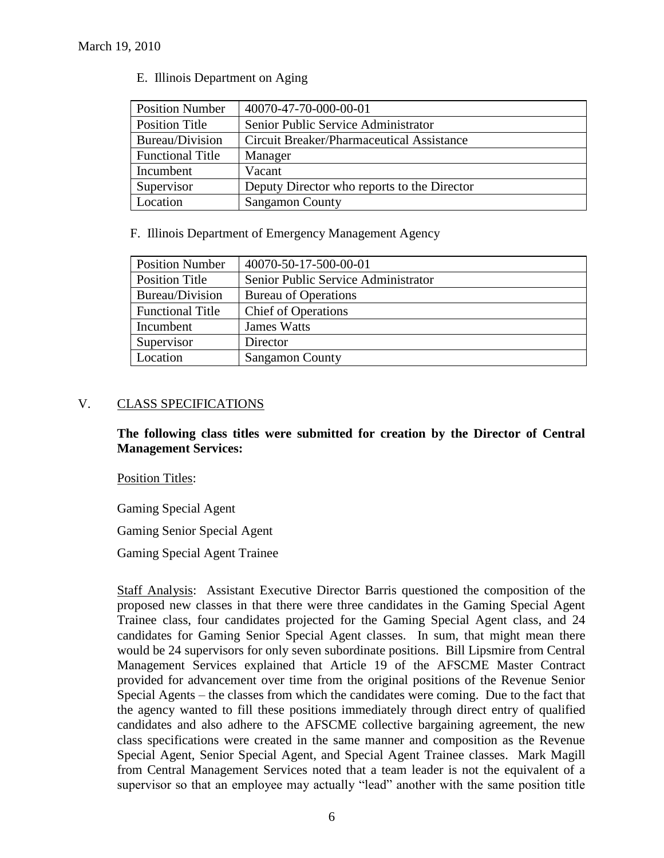| <b>Position Number</b>  | 40070-47-70-000-00-01                       |
|-------------------------|---------------------------------------------|
| Position Title          | Senior Public Service Administrator         |
| Bureau/Division         | Circuit Breaker/Pharmaceutical Assistance   |
| <b>Functional Title</b> | Manager                                     |
| Incumbent               | Vacant                                      |
| Supervisor              | Deputy Director who reports to the Director |
| Location                | <b>Sangamon County</b>                      |

E. Illinois Department on Aging

F. Illinois Department of Emergency Management Agency

| <b>Position Number</b>  | 40070-50-17-500-00-01               |
|-------------------------|-------------------------------------|
| Position Title          | Senior Public Service Administrator |
| Bureau/Division         | <b>Bureau of Operations</b>         |
| <b>Functional Title</b> | <b>Chief of Operations</b>          |
| Incumbent               | <b>James Watts</b>                  |
| Supervisor              | Director                            |
| Location                | <b>Sangamon County</b>              |

## V. CLASS SPECIFICATIONS

**The following class titles were submitted for creation by the Director of Central Management Services:**

Position Titles:

Gaming Special Agent

Gaming Senior Special Agent

Gaming Special Agent Trainee

Staff Analysis: Assistant Executive Director Barris questioned the composition of the proposed new classes in that there were three candidates in the Gaming Special Agent Trainee class, four candidates projected for the Gaming Special Agent class, and 24 candidates for Gaming Senior Special Agent classes. In sum, that might mean there would be 24 supervisors for only seven subordinate positions. Bill Lipsmire from Central Management Services explained that Article 19 of the AFSCME Master Contract provided for advancement over time from the original positions of the Revenue Senior Special Agents – the classes from which the candidates were coming. Due to the fact that the agency wanted to fill these positions immediately through direct entry of qualified candidates and also adhere to the AFSCME collective bargaining agreement, the new class specifications were created in the same manner and composition as the Revenue Special Agent, Senior Special Agent, and Special Agent Trainee classes. Mark Magill from Central Management Services noted that a team leader is not the equivalent of a supervisor so that an employee may actually "lead" another with the same position title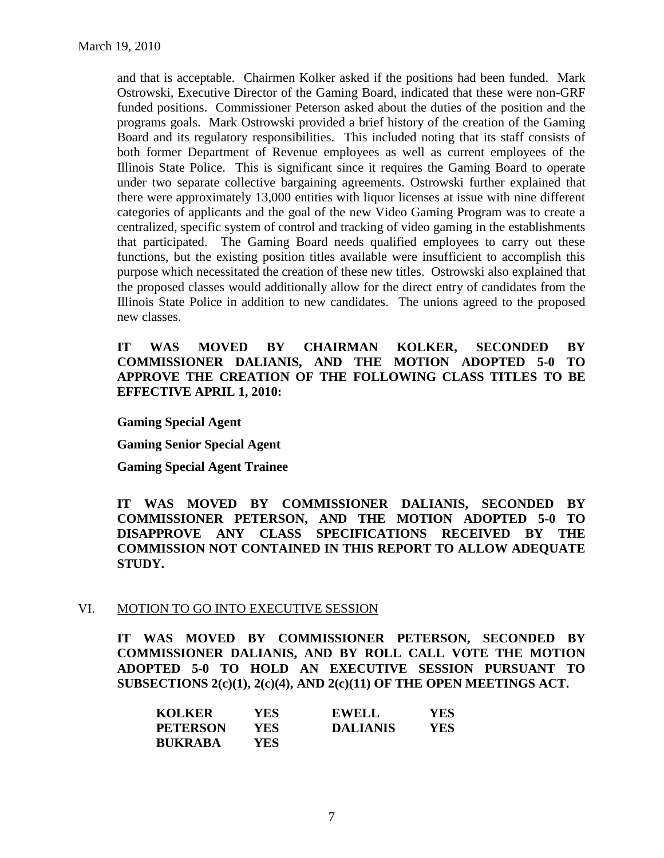and that is acceptable. Chairmen Kolker asked if the positions had been funded. Mark Ostrowski, Executive Director of the Gaming Board, indicated that these were non-GRF funded positions. Commissioner Peterson asked about the duties of the position and the programs goals. Mark Ostrowski provided a brief history of the creation of the Gaming Board and its regulatory responsibilities. This included noting that its staff consists of both former Department of Revenue employees as well as current employees of the Illinois State Police. This is significant since it requires the Gaming Board to operate under two separate collective bargaining agreements. Ostrowski further explained that there were approximately 13,000 entities with liquor licenses at issue with nine different categories of applicants and the goal of the new Video Gaming Program was to create a centralized, specific system of control and tracking of video gaming in the establishments that participated. The Gaming Board needs qualified employees to carry out these functions, but the existing position titles available were insufficient to accomplish this purpose which necessitated the creation of these new titles. Ostrowski also explained that the proposed classes would additionally allow for the direct entry of candidates from the Illinois State Police in addition to new candidates. The unions agreed to the proposed new classes.

## **IT WAS MOVED BY CHAIRMAN KOLKER, SECONDED BY COMMISSIONER DALIANIS, AND THE MOTION ADOPTED 5-0 TO APPROVE THE CREATION OF THE FOLLOWING CLASS TITLES TO BE EFFECTIVE APRIL 1, 2010:**

**Gaming Special Agent** 

**Gaming Senior Special Agent**

**Gaming Special Agent Trainee**

**IT WAS MOVED BY COMMISSIONER DALIANIS, SECONDED BY COMMISSIONER PETERSON, AND THE MOTION ADOPTED 5-0 TO DISAPPROVE ANY CLASS SPECIFICATIONS RECEIVED BY THE COMMISSION NOT CONTAINED IN THIS REPORT TO ALLOW ADEQUATE STUDY.** 

#### VI. MOTION TO GO INTO EXECUTIVE SESSION

**IT WAS MOVED BY COMMISSIONER PETERSON, SECONDED BY COMMISSIONER DALIANIS, AND BY ROLL CALL VOTE THE MOTION ADOPTED 5-0 TO HOLD AN EXECUTIVE SESSION PURSUANT TO SUBSECTIONS 2(c)(1), 2(c)(4), AND 2(c)(11) OF THE OPEN MEETINGS ACT.** 

| <b>KOLKER</b>   | YES  | <b>EWELL</b>    | <b>YES</b> |
|-----------------|------|-----------------|------------|
| <b>PETERSON</b> | YES. | <b>DALIANIS</b> | YES        |
| <b>BUKRABA</b>  | YES. |                 |            |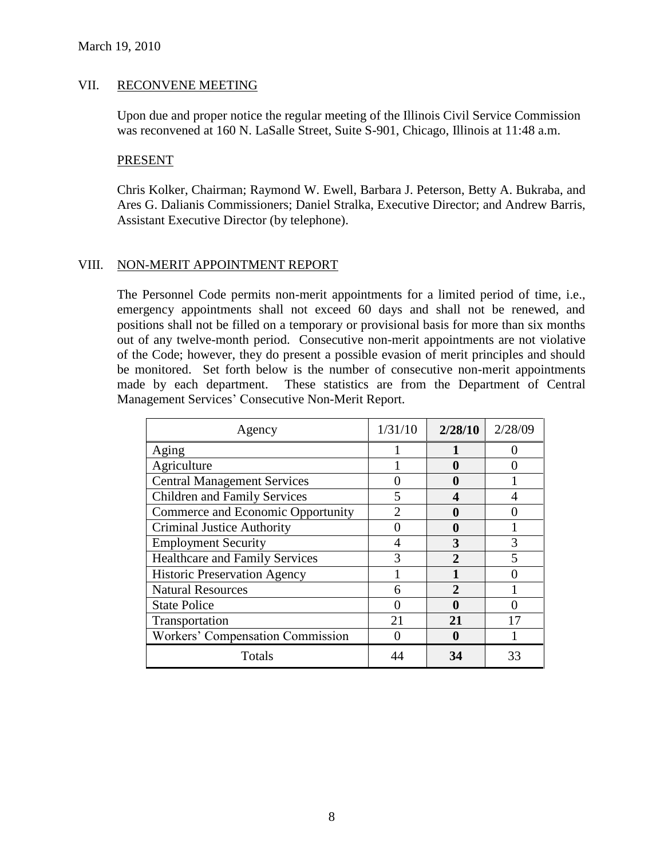#### VII. RECONVENE MEETING

Upon due and proper notice the regular meeting of the Illinois Civil Service Commission was reconvened at 160 N. LaSalle Street, Suite S-901, Chicago, Illinois at 11:48 a.m.

#### PRESENT

Chris Kolker, Chairman; Raymond W. Ewell, Barbara J. Peterson, Betty A. Bukraba, and Ares G. Dalianis Commissioners; Daniel Stralka, Executive Director; and Andrew Barris, Assistant Executive Director (by telephone).

#### VIII. NON-MERIT APPOINTMENT REPORT

The Personnel Code permits non-merit appointments for a limited period of time, i.e., emergency appointments shall not exceed 60 days and shall not be renewed, and positions shall not be filled on a temporary or provisional basis for more than six months out of any twelve-month period. Consecutive non-merit appointments are not violative of the Code; however, they do present a possible evasion of merit principles and should be monitored. Set forth below is the number of consecutive non-merit appointments made by each department. These statistics are from the Department of Central Management Services' Consecutive Non-Merit Report.

| Agency                                  | 1/31/10 | 2/28/10        | 2/28/09 |
|-----------------------------------------|---------|----------------|---------|
| Aging                                   |         |                |         |
| Agriculture                             |         | 0              |         |
| <b>Central Management Services</b>      |         | O              |         |
| <b>Children and Family Services</b>     |         |                |         |
| Commerce and Economic Opportunity       |         | 0              |         |
| <b>Criminal Justice Authority</b>       |         | 0              |         |
| <b>Employment Security</b>              |         | 3              |         |
| <b>Healthcare and Family Services</b>   |         |                |         |
| <b>Historic Preservation Agency</b>     |         |                |         |
| <b>Natural Resources</b>                |         | $\mathfrak{D}$ |         |
| <b>State Police</b>                     |         | O              |         |
| Transportation                          | 21      | 21             | 17      |
| <b>Workers' Compensation Commission</b> |         |                |         |
| Totals                                  |         | 34             | 33      |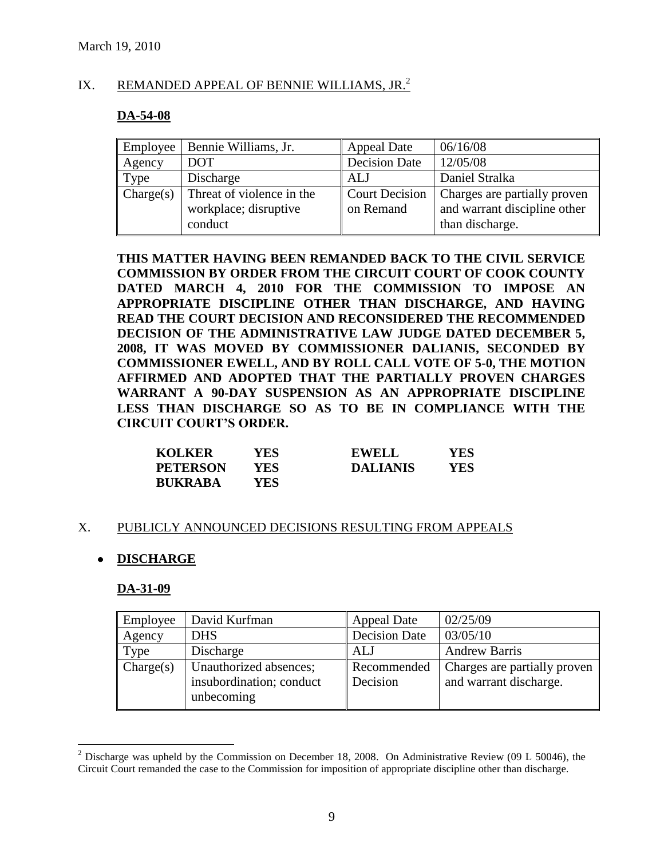## IX. REMANDED APPEAL OF BENNIE WILLIAMS, JR.<sup>2</sup>

## **DA-54-08**

| Employee  | Bennie Williams, Jr.                                          | <b>Appeal Date</b>                 | 06/16/08                                                                        |
|-----------|---------------------------------------------------------------|------------------------------------|---------------------------------------------------------------------------------|
| Agency    | <b>DOT</b>                                                    | <b>Decision Date</b>               | 12/05/08                                                                        |
| Type      | Discharge                                                     | ALJ                                | Daniel Stralka                                                                  |
| Change(s) | Threat of violence in the<br>workplace; disruptive<br>conduct | <b>Court Decision</b><br>on Remand | Charges are partially proven<br>and warrant discipline other<br>than discharge. |

**THIS MATTER HAVING BEEN REMANDED BACK TO THE CIVIL SERVICE COMMISSION BY ORDER FROM THE CIRCUIT COURT OF COOK COUNTY DATED MARCH 4, 2010 FOR THE COMMISSION TO IMPOSE AN APPROPRIATE DISCIPLINE OTHER THAN DISCHARGE, AND HAVING READ THE COURT DECISION AND RECONSIDERED THE RECOMMENDED DECISION OF THE ADMINISTRATIVE LAW JUDGE DATED DECEMBER 5, 2008, IT WAS MOVED BY COMMISSIONER DALIANIS, SECONDED BY COMMISSIONER EWELL, AND BY ROLL CALL VOTE OF 5-0, THE MOTION AFFIRMED AND ADOPTED THAT THE PARTIALLY PROVEN CHARGES WARRANT A 90-DAY SUSPENSION AS AN APPROPRIATE DISCIPLINE LESS THAN DISCHARGE SO AS TO BE IN COMPLIANCE WITH THE CIRCUIT COURT'S ORDER.**

| <b>KOLKER</b>   | <b>YES</b> | <b>EWELL</b>    | YES |
|-----------------|------------|-----------------|-----|
| <b>PETERSON</b> | YES.       | <b>DALIANIS</b> | YES |
| <b>BUKRABA</b>  | YES-       |                 |     |

#### X. PUBLICLY ANNOUNCED DECISIONS RESULTING FROM APPEALS

## **DISCHARGE**

#### **DA-31-09**

 $\overline{a}$ 

| Employee  | David Kurfman                                                    | <b>Appeal Date</b>      | 02/25/09                                               |
|-----------|------------------------------------------------------------------|-------------------------|--------------------------------------------------------|
| Agency    | <b>DHS</b>                                                       | <b>Decision Date</b>    | 03/05/10                                               |
| Type      | Discharge                                                        | ALJ                     | <b>Andrew Barris</b>                                   |
| Change(s) | Unauthorized absences;<br>insubordination; conduct<br>unbecoming | Recommended<br>Decision | Charges are partially proven<br>and warrant discharge. |

 $2$  Discharge was upheld by the Commission on December 18, 2008. On Administrative Review (09 L 50046), the Circuit Court remanded the case to the Commission for imposition of appropriate discipline other than discharge.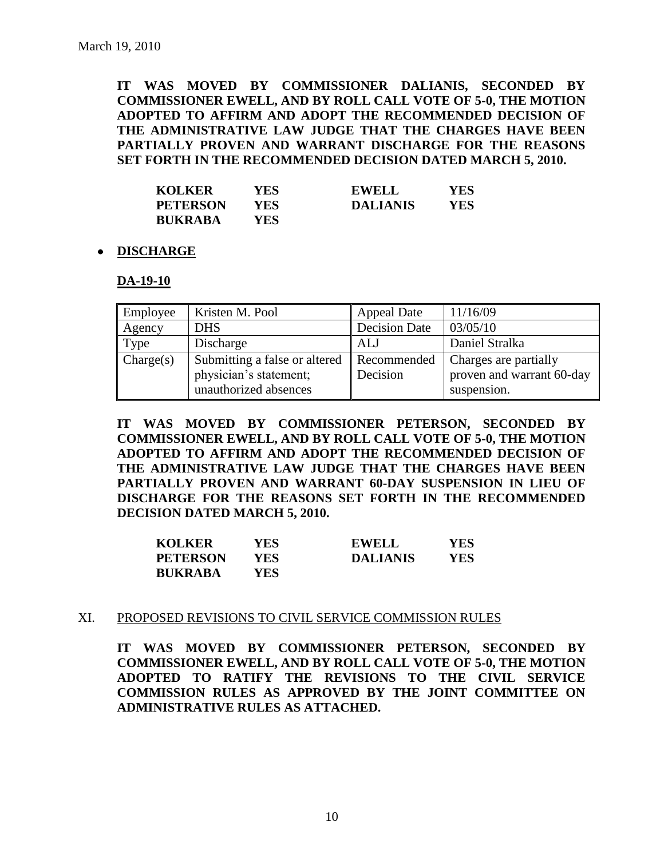**IT WAS MOVED BY COMMISSIONER DALIANIS, SECONDED BY COMMISSIONER EWELL, AND BY ROLL CALL VOTE OF 5-0, THE MOTION ADOPTED TO AFFIRM AND ADOPT THE RECOMMENDED DECISION OF THE ADMINISTRATIVE LAW JUDGE THAT THE CHARGES HAVE BEEN PARTIALLY PROVEN AND WARRANT DISCHARGE FOR THE REASONS SET FORTH IN THE RECOMMENDED DECISION DATED MARCH 5, 2010.**

| <b>KOLKER</b>   | YES. | <b>EWELL</b>    | YES. |
|-----------------|------|-----------------|------|
| <b>PETERSON</b> | YES. | <b>DALIANIS</b> | YES. |
| <b>BUKRABA</b>  | YES- |                 |      |

#### **DISCHARGE**

#### **DA-19-10**

| Employee  | Kristen M. Pool               | <b>Appeal Date</b>   | 11/16/09                  |
|-----------|-------------------------------|----------------------|---------------------------|
| Agency    | <b>DHS</b>                    | <b>Decision Date</b> | 03/05/10                  |
| Type      | Discharge                     | ALJ                  | Daniel Stralka            |
| Change(s) | Submitting a false or altered | Recommended          | Charges are partially     |
|           | physician's statement;        | Decision             | proven and warrant 60-day |
|           | unauthorized absences         |                      | suspension.               |

**IT WAS MOVED BY COMMISSIONER PETERSON, SECONDED BY COMMISSIONER EWELL, AND BY ROLL CALL VOTE OF 5-0, THE MOTION ADOPTED TO AFFIRM AND ADOPT THE RECOMMENDED DECISION OF THE ADMINISTRATIVE LAW JUDGE THAT THE CHARGES HAVE BEEN PARTIALLY PROVEN AND WARRANT 60-DAY SUSPENSION IN LIEU OF DISCHARGE FOR THE REASONS SET FORTH IN THE RECOMMENDED DECISION DATED MARCH 5, 2010.**

| <b>KOLKER</b>   | YES  | <b>EWELL</b>    | YES |
|-----------------|------|-----------------|-----|
| <b>PETERSON</b> | YES. | <b>DALIANIS</b> | YES |
| <b>BUKRABA</b>  | YES- |                 |     |

#### XI. PROPOSED REVISIONS TO CIVIL SERVICE COMMISSION RULES

**IT WAS MOVED BY COMMISSIONER PETERSON, SECONDED BY COMMISSIONER EWELL, AND BY ROLL CALL VOTE OF 5-0, THE MOTION ADOPTED TO RATIFY THE REVISIONS TO THE CIVIL SERVICE COMMISSION RULES AS APPROVED BY THE JOINT COMMITTEE ON ADMINISTRATIVE RULES AS ATTACHED.**